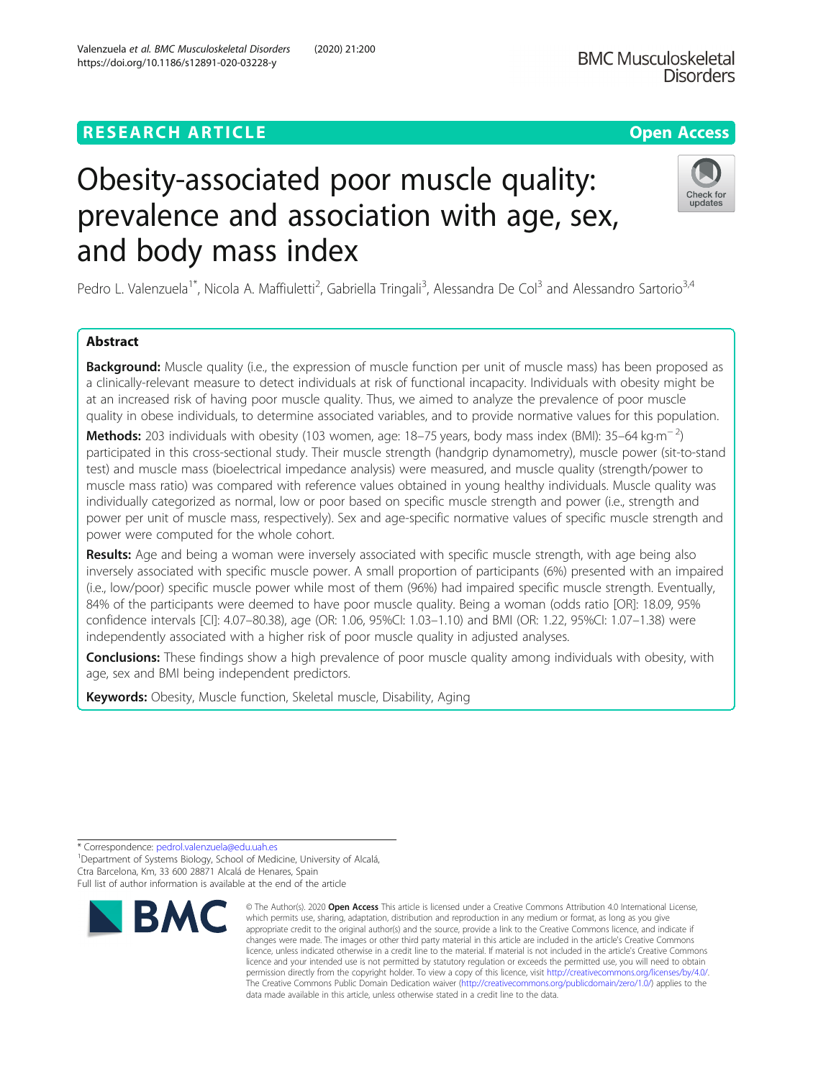# **RESEARCH ARTICLE Example 2014 12:30 The Contract of Contract ACCESS**

# Obesity-associated poor muscle quality: prevalence and association with age, sex, and body mass index

Pedro L. Valenzuela<sup>1\*</sup>, Nicola A. Maffiuletti<sup>2</sup>, Gabriella Tringali<sup>3</sup>, Alessandra De Col<sup>3</sup> and Alessandro Sartorio<sup>3,4</sup>

## Abstract

Background: Muscle quality (i.e., the expression of muscle function per unit of muscle mass) has been proposed as a clinically-relevant measure to detect individuals at risk of functional incapacity. Individuals with obesity might be at an increased risk of having poor muscle quality. Thus, we aimed to analyze the prevalence of poor muscle quality in obese individuals, to determine associated variables, and to provide normative values for this population.

Methods: 203 individuals with obesity (103 women, age: 18–75 years, body mass index (BMI): 35–64 kg·m<sup>− 2</sup>) participated in this cross-sectional study. Their muscle strength (handgrip dynamometry), muscle power (sit-to-stand test) and muscle mass (bioelectrical impedance analysis) were measured, and muscle quality (strength/power to muscle mass ratio) was compared with reference values obtained in young healthy individuals. Muscle quality was individually categorized as normal, low or poor based on specific muscle strength and power (i.e., strength and power per unit of muscle mass, respectively). Sex and age-specific normative values of specific muscle strength and power were computed for the whole cohort.

Results: Age and being a woman were inversely associated with specific muscle strength, with age being also inversely associated with specific muscle power. A small proportion of participants (6%) presented with an impaired (i.e., low/poor) specific muscle power while most of them (96%) had impaired specific muscle strength. Eventually, 84% of the participants were deemed to have poor muscle quality. Being a woman (odds ratio [OR]: 18.09, 95% confidence intervals [CI]: 4.07–80.38), age (OR: 1.06, 95%CI: 1.03–1.10) and BMI (OR: 1.22, 95%CI: 1.07–1.38) were independently associated with a higher risk of poor muscle quality in adjusted analyses.

**Conclusions:** These findings show a high prevalence of poor muscle quality among individuals with obesity, with age, sex and BMI being independent predictors.

Keywords: Obesity, Muscle function, Skeletal muscle, Disability, Aging

\* Correspondence: [pedrol.valenzuela@edu.uah.es](mailto:pedrol.valenzuela@edu.uah.es) <sup>1</sup>

<sup>1</sup> Department of Systems Biology, School of Medicine, University of Alcalá, Ctra Barcelona, Km, 33 600 28871 Alcalá de Henares, Spain Full list of author information is available at the end of the article







Check for updates

<sup>©</sup> The Author(s), 2020 **Open Access** This article is licensed under a Creative Commons Attribution 4.0 International License, which permits use, sharing, adaptation, distribution and reproduction in any medium or format, as long as you give appropriate credit to the original author(s) and the source, provide a link to the Creative Commons licence, and indicate if changes were made. The images or other third party material in this article are included in the article's Creative Commons licence, unless indicated otherwise in a credit line to the material. If material is not included in the article's Creative Commons licence and your intended use is not permitted by statutory regulation or exceeds the permitted use, you will need to obtain permission directly from the copyright holder. To view a copy of this licence, visit [http://creativecommons.org/licenses/by/4.0/.](http://creativecommons.org/licenses/by/4.0/) The Creative Commons Public Domain Dedication waiver [\(http://creativecommons.org/publicdomain/zero/1.0/](http://creativecommons.org/publicdomain/zero/1.0/)) applies to the data made available in this article, unless otherwise stated in a credit line to the data.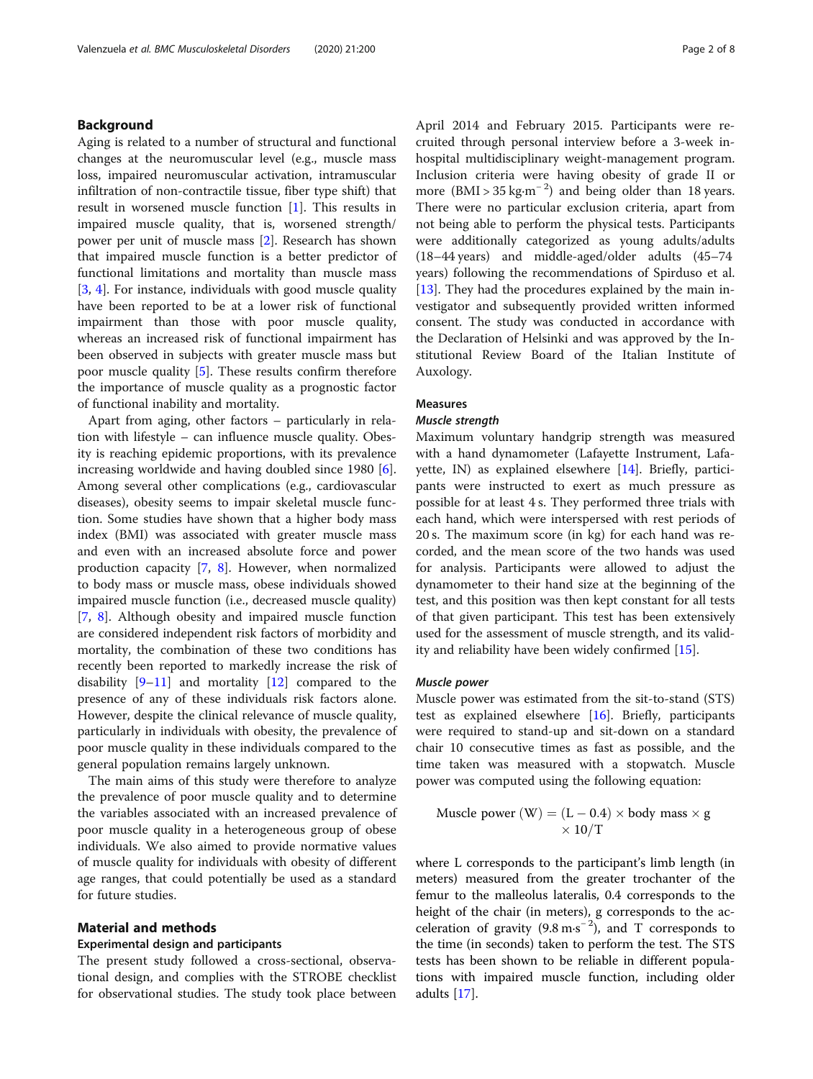## Background

Aging is related to a number of structural and functional changes at the neuromuscular level (e.g., muscle mass loss, impaired neuromuscular activation, intramuscular infiltration of non-contractile tissue, fiber type shift) that result in worsened muscle function [\[1](#page-6-0)]. This results in impaired muscle quality, that is, worsened strength/ power per unit of muscle mass [\[2](#page-6-0)]. Research has shown that impaired muscle function is a better predictor of functional limitations and mortality than muscle mass [[3,](#page-6-0) [4](#page-7-0)]. For instance, individuals with good muscle quality have been reported to be at a lower risk of functional impairment than those with poor muscle quality, whereas an increased risk of functional impairment has been observed in subjects with greater muscle mass but poor muscle quality [[5\]](#page-7-0). These results confirm therefore the importance of muscle quality as a prognostic factor of functional inability and mortality.

Apart from aging, other factors – particularly in relation with lifestyle – can influence muscle quality. Obesity is reaching epidemic proportions, with its prevalence increasing worldwide and having doubled since 1980 [\[6](#page-7-0)]. Among several other complications (e.g., cardiovascular diseases), obesity seems to impair skeletal muscle function. Some studies have shown that a higher body mass index (BMI) was associated with greater muscle mass and even with an increased absolute force and power production capacity [[7,](#page-7-0) [8](#page-7-0)]. However, when normalized to body mass or muscle mass, obese individuals showed impaired muscle function (i.e., decreased muscle quality) [[7,](#page-7-0) [8](#page-7-0)]. Although obesity and impaired muscle function are considered independent risk factors of morbidity and mortality, the combination of these two conditions has recently been reported to markedly increase the risk of disability  $[9-11]$  $[9-11]$  $[9-11]$  $[9-11]$  and mortality  $[12]$  $[12]$  compared to the presence of any of these individuals risk factors alone. However, despite the clinical relevance of muscle quality, particularly in individuals with obesity, the prevalence of poor muscle quality in these individuals compared to the general population remains largely unknown.

The main aims of this study were therefore to analyze the prevalence of poor muscle quality and to determine the variables associated with an increased prevalence of poor muscle quality in a heterogeneous group of obese individuals. We also aimed to provide normative values of muscle quality for individuals with obesity of different age ranges, that could potentially be used as a standard for future studies.

#### Material and methods

#### Experimental design and participants

The present study followed a cross-sectional, observational design, and complies with the STROBE checklist for observational studies. The study took place between April 2014 and February 2015. Participants were recruited through personal interview before a 3-week inhospital multidisciplinary weight-management program. Inclusion criteria were having obesity of grade II or more  $(BMI > 35 \text{ kg} \cdot \text{m}^{-2})$  and being older than 18 years. There were no particular exclusion criteria, apart from not being able to perform the physical tests. Participants were additionally categorized as young adults/adults (18–44 years) and middle-aged/older adults (45–74 years) following the recommendations of Spirduso et al. [[13\]](#page-7-0). They had the procedures explained by the main investigator and subsequently provided written informed consent. The study was conducted in accordance with the Declaration of Helsinki and was approved by the Institutional Review Board of the Italian Institute of Auxology.

#### Measures

Maximum voluntary handgrip strength was measured with a hand dynamometer (Lafayette Instrument, Lafayette, IN) as explained elsewhere [\[14](#page-7-0)]. Briefly, participants were instructed to exert as much pressure as possible for at least 4 s. They performed three trials with each hand, which were interspersed with rest periods of 20 s. The maximum score (in kg) for each hand was recorded, and the mean score of the two hands was used for analysis. Participants were allowed to adjust the dynamometer to their hand size at the beginning of the test, and this position was then kept constant for all tests of that given participant. This test has been extensively used for the assessment of muscle strength, and its validity and reliability have been widely confirmed [\[15](#page-7-0)].

Muscle power Muscle power was estimated from the sit-to-stand (STS) test as explained elsewhere [\[16](#page-7-0)]. Briefly, participants were required to stand-up and sit-down on a standard chair 10 consecutive times as fast as possible, and the time taken was measured with a stopwatch. Muscle power was computed using the following equation:

$$
Muscle power (W) = (L – 0.4) × body mass × g
$$

$$
× 10/T
$$

where L corresponds to the participant's limb length (in meters) measured from the greater trochanter of the femur to the malleolus lateralis, 0.4 corresponds to the height of the chair (in meters), g corresponds to the acceleration of gravity  $(9.8 \text{ m} \cdot \text{s}^{-2})$ , and T corresponds to the time (in seconds) taken to perform the test. The STS tests has been shown to be reliable in different populations with impaired muscle function, including older adults [\[17](#page-7-0)].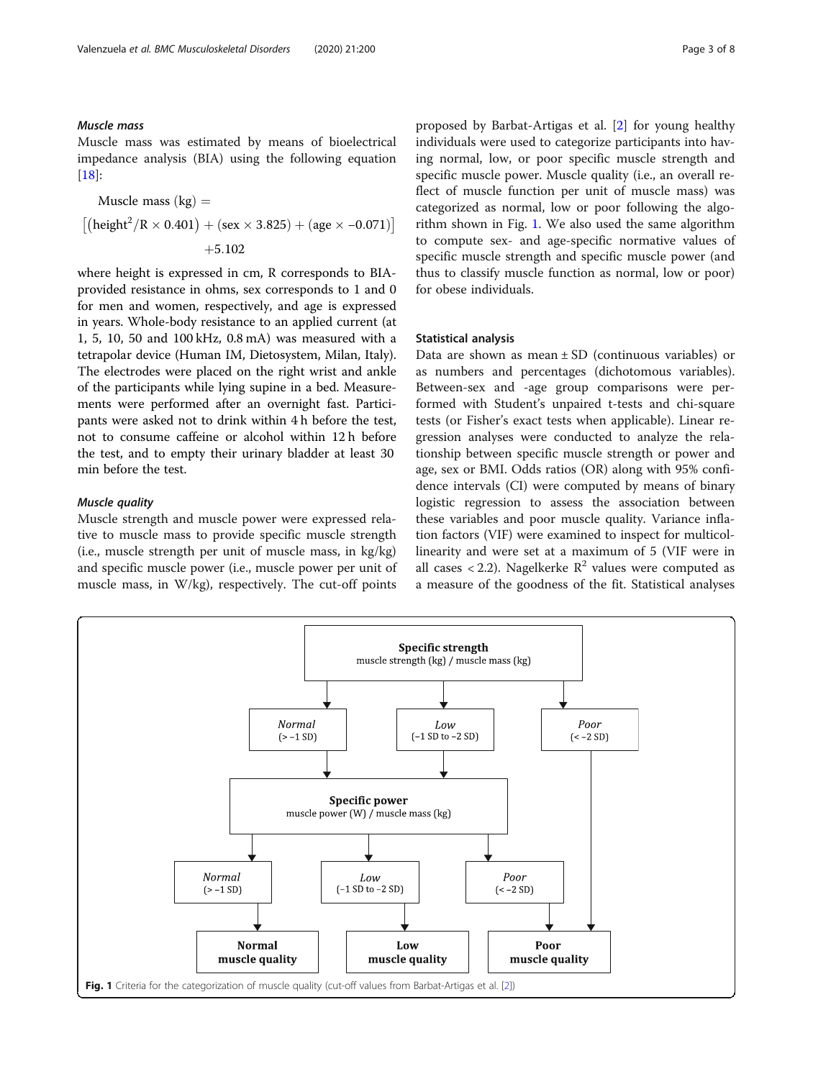#### Muscle mass

# Muscle mass Muscle mass was estimated by means of bioelectrical impedance analysis (BIA) using the following equation [[18\]](#page-7-0):

Muscle mass  $(kg) =$  $[(height<sup>2</sup>/R × 0.401) + (sex × 3.825) + (age × -0.071)]$  $+5.102$ 

where height is expressed in cm, R corresponds to BIAprovided resistance in ohms, sex corresponds to 1 and 0 for men and women, respectively, and age is expressed in years. Whole-body resistance to an applied current (at 1, 5, 10, 50 and 100 kHz, 0.8 mA) was measured with a tetrapolar device (Human IM, Dietosystem, Milan, Italy). The electrodes were placed on the right wrist and ankle of the participants while lying supine in a bed. Measurements were performed after an overnight fast. Participants were asked not to drink within 4 h before the test, not to consume caffeine or alcohol within 12 h before the test, and to empty their urinary bladder at least 30 min before the test.

Muscle strength and muscle power were expressed relative to muscle mass to provide specific muscle strength (i.e., muscle strength per unit of muscle mass, in kg/kg) and specific muscle power (i.e., muscle power per unit of muscle mass, in W/kg), respectively. The cut-off points proposed by Barbat-Artigas et al. [[2\]](#page-6-0) for young healthy individuals were used to categorize participants into having normal, low, or poor specific muscle strength and specific muscle power. Muscle quality (i.e., an overall reflect of muscle function per unit of muscle mass) was categorized as normal, low or poor following the algorithm shown in Fig. 1. We also used the same algorithm to compute sex- and age-specific normative values of specific muscle strength and specific muscle power (and thus to classify muscle function as normal, low or poor) for obese individuals.

#### Statistical analysis

Data are shown as mean  $\pm$  SD (continuous variables) or as numbers and percentages (dichotomous variables). Between-sex and -age group comparisons were performed with Student's unpaired t-tests and chi-square tests (or Fisher's exact tests when applicable). Linear regression analyses were conducted to analyze the relationship between specific muscle strength or power and age, sex or BMI. Odds ratios (OR) along with 95% confidence intervals (CI) were computed by means of binary logistic regression to assess the association between these variables and poor muscle quality. Variance inflation factors (VIF) were examined to inspect for multicollinearity and were set at a maximum of 5 (VIF were in all cases < 2.2). Nagelkerke  $R^2$  values were computed as a measure of the goodness of the fit. Statistical analyses

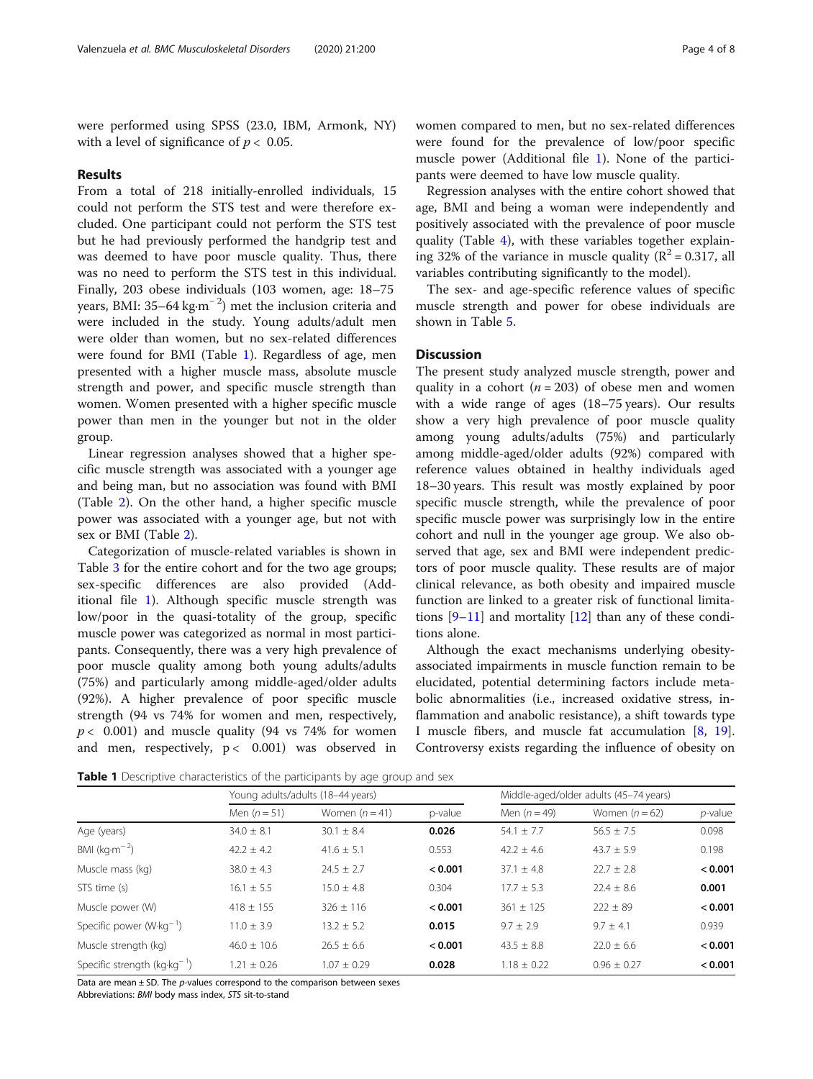were performed using SPSS (23.0, IBM, Armonk, NY) with a level of significance of  $p < 0.05$ .

#### Results

From a total of 218 initially-enrolled individuals, 15 could not perform the STS test and were therefore excluded. One participant could not perform the STS test but he had previously performed the handgrip test and was deemed to have poor muscle quality. Thus, there was no need to perform the STS test in this individual. Finally, 203 obese individuals (103 women, age: 18–75 years, BMI: 35–64 kg⋅m<sup>-2</sup>) met the inclusion criteria and were included in the study. Young adults/adult men were older than women, but no sex-related differences were found for BMI (Table 1). Regardless of age, men presented with a higher muscle mass, absolute muscle strength and power, and specific muscle strength than women. Women presented with a higher specific muscle power than men in the younger but not in the older group.

Linear regression analyses showed that a higher specific muscle strength was associated with a younger age and being man, but no association was found with BMI (Table [2](#page-4-0)). On the other hand, a higher specific muscle power was associated with a younger age, but not with sex or BMI (Table [2\)](#page-4-0).

Categorization of muscle-related variables is shown in Table [3](#page-4-0) for the entire cohort and for the two age groups; sex-specific differences are also provided (Additional file [1](#page-6-0)). Although specific muscle strength was low/poor in the quasi-totality of the group, specific muscle power was categorized as normal in most participants. Consequently, there was a very high prevalence of poor muscle quality among both young adults/adults (75%) and particularly among middle-aged/older adults (92%). A higher prevalence of poor specific muscle strength (94 vs 74% for women and men, respectively,  $p < 0.001$ ) and muscle quality (94 vs 74% for women and men, respectively,  $p < 0.001$ ) was observed in women compared to men, but no sex-related differences were found for the prevalence of low/poor specific muscle power (Additional file [1](#page-6-0)). None of the participants were deemed to have low muscle quality.

Regression analyses with the entire cohort showed that age, BMI and being a woman were independently and positively associated with the prevalence of poor muscle quality (Table [4\)](#page-5-0), with these variables together explaining 32% of the variance in muscle quality ( $\mathbb{R}^2$  = 0.317, all variables contributing significantly to the model).

The sex- and age-specific reference values of specific muscle strength and power for obese individuals are shown in Table [5.](#page-5-0)

## **Discussion**

The present study analyzed muscle strength, power and quality in a cohort ( $n = 203$ ) of obese men and women with a wide range of ages (18–75 years). Our results show a very high prevalence of poor muscle quality among young adults/adults (75%) and particularly among middle-aged/older adults (92%) compared with reference values obtained in healthy individuals aged 18–30 years. This result was mostly explained by poor specific muscle strength, while the prevalence of poor specific muscle power was surprisingly low in the entire cohort and null in the younger age group. We also observed that age, sex and BMI were independent predictors of poor muscle quality. These results are of major clinical relevance, as both obesity and impaired muscle function are linked to a greater risk of functional limitations  $[9-11]$  $[9-11]$  $[9-11]$  $[9-11]$  and mortality  $[12]$  $[12]$  than any of these conditions alone.

Although the exact mechanisms underlying obesityassociated impairments in muscle function remain to be elucidated, potential determining factors include metabolic abnormalities (i.e., increased oxidative stress, inflammation and anabolic resistance), a shift towards type I muscle fibers, and muscle fat accumulation [\[8,](#page-7-0) [19](#page-7-0)]. Controversy exists regarding the influence of obesity on

**Table 1** Descriptive characteristics of the participants by age group and sex

|                                        | Young adults/adults (18-44 years) |                 |         | Middle-aged/older adults (45-74 years) |                  |            |
|----------------------------------------|-----------------------------------|-----------------|---------|----------------------------------------|------------------|------------|
|                                        | Men $(n=51)$                      | Women $(n=41)$  | p-value | Men $(n = 49)$                         | Women $(n = 62)$ | $p$ -value |
| Age (years)                            | $34.0 \pm 8.1$                    | $30.1 \pm 8.4$  | 0.026   | $54.1 \pm 7.7$                         | $56.5 \pm 7.5$   | 0.098      |
| BMI ( $kg·m-2$ )                       | $42.2 \pm 4.2$                    | $41.6 \pm 5.1$  | 0.553   | $42.2 \pm 4.6$                         | $43.7 \pm 5.9$   | 0.198      |
| Muscle mass (kg)                       | $38.0 \pm 4.3$                    | $24.5 \pm 2.7$  | < 0.001 | $37.1 + 4.8$                           | $22.7 \pm 2.8$   | < 0.001    |
| STS time (s)                           | $16.1 \pm 5.5$                    | $15.0 \pm 4.8$  | 0.304   | $17.7 \pm 5.3$                         | $22.4 \pm 8.6$   | 0.001      |
| Muscle power (W)                       | $418 \pm 155$                     | $326 \pm 116$   | < 0.001 | $361 \pm 125$                          | $222 \pm 89$     | < 0.001    |
| Specific power $(W \cdot kq^{-1})$     | $11.0 \pm 3.9$                    | $13.2 \pm 5.2$  | 0.015   | $9.7 \pm 2.9$                          | $9.7 + 4.1$      | 0.939      |
| Muscle strength (kg)                   | $46.0 \pm 10.6$                   | $26.5 \pm 6.6$  | < 0.001 | $43.5 \pm 8.8$                         | $22.0 \pm 6.6$   | < 0.001    |
| Specific strength ( $kg$ - $kg^{-1}$ ) | $1.21 \pm 0.26$                   | $1.07 \pm 0.29$ | 0.028   | $1.18 \pm 0.22$                        | $0.96 \pm 0.27$  | < 0.001    |

Data are mean  $\pm$  SD. The *p*-values correspond to the comparison between sexes

Abbreviations: BMI body mass index, STS sit-to-stand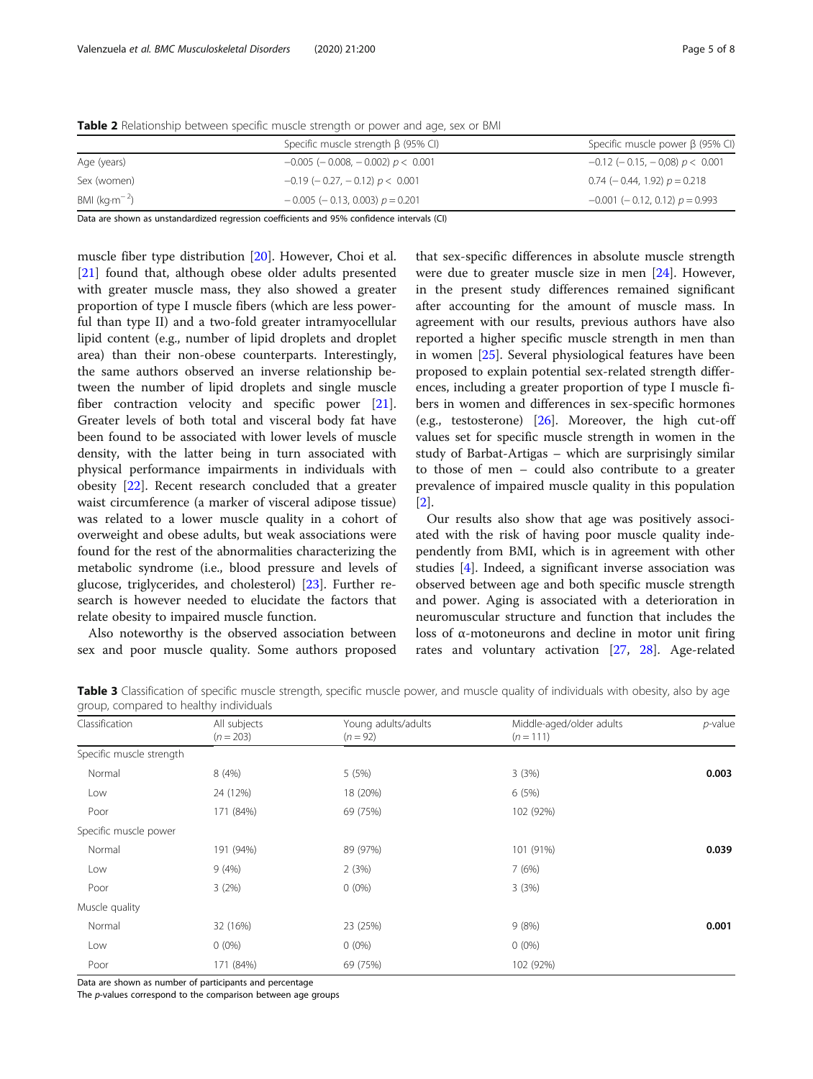<span id="page-4-0"></span>

|  | Table 2 Relationship between specific muscle strength or power and age, sex or BMI |  |  |
|--|------------------------------------------------------------------------------------|--|--|
|--|------------------------------------------------------------------------------------|--|--|

|                                       | Specific muscle strength $\beta$ (95% CI) | Specific muscle power $\beta$ (95% CI) |
|---------------------------------------|-------------------------------------------|----------------------------------------|
| Age (years)                           | $-0.005$ (-0.008, -0.002) $p < 0.001$     | $-0.12$ (-0.15, -0.08) $p < 0.001$     |
| Sex (women)                           | $-0.19$ (-0.27, -0.12) $p < 0.001$        | $0.74$ (- 0.44, 1.92) $p = 0.218$      |
| BMI ( $\text{kg}\cdot\text{m}^{-2}$ ) | $-0.005$ ( $-0.13$ , 0.003) $p = 0.201$   | $-0.001$ (-0.12, 0.12) $p = 0.993$     |

Data are shown as unstandardized regression coefficients and 95% confidence intervals (CI)

muscle fiber type distribution [\[20](#page-7-0)]. However, Choi et al. [[21\]](#page-7-0) found that, although obese older adults presented with greater muscle mass, they also showed a greater proportion of type I muscle fibers (which are less powerful than type II) and a two-fold greater intramyocellular lipid content (e.g., number of lipid droplets and droplet area) than their non-obese counterparts. Interestingly, the same authors observed an inverse relationship between the number of lipid droplets and single muscle fiber contraction velocity and specific power [\[21](#page-7-0)]. Greater levels of both total and visceral body fat have been found to be associated with lower levels of muscle density, with the latter being in turn associated with physical performance impairments in individuals with obesity [\[22](#page-7-0)]. Recent research concluded that a greater waist circumference (a marker of visceral adipose tissue) was related to a lower muscle quality in a cohort of overweight and obese adults, but weak associations were found for the rest of the abnormalities characterizing the metabolic syndrome (i.e., blood pressure and levels of glucose, triglycerides, and cholesterol) [\[23](#page-7-0)]. Further research is however needed to elucidate the factors that relate obesity to impaired muscle function.

Also noteworthy is the observed association between sex and poor muscle quality. Some authors proposed that sex-specific differences in absolute muscle strength were due to greater muscle size in men [[24\]](#page-7-0). However, in the present study differences remained significant after accounting for the amount of muscle mass. In agreement with our results, previous authors have also reported a higher specific muscle strength in men than in women [\[25](#page-7-0)]. Several physiological features have been proposed to explain potential sex-related strength differences, including a greater proportion of type I muscle fibers in women and differences in sex-specific hormones (e.g., testosterone)  $[26]$  $[26]$ . Moreover, the high cut-off values set for specific muscle strength in women in the study of Barbat-Artigas – which are surprisingly similar to those of men – could also contribute to a greater prevalence of impaired muscle quality in this population [[2\]](#page-6-0).

Our results also show that age was positively associated with the risk of having poor muscle quality independently from BMI, which is in agreement with other studies [\[4\]](#page-7-0). Indeed, a significant inverse association was observed between age and both specific muscle strength and power. Aging is associated with a deterioration in neuromuscular structure and function that includes the loss of α-motoneurons and decline in motor unit firing rates and voluntary activation [[27](#page-7-0), [28\]](#page-7-0). Age-related

Table 3 Classification of specific muscle strength, specific muscle power, and muscle quality of individuals with obesity, also by age group, compared to healthy individuals

| Classification           | All subjects<br>$(n = 203)$ | Young adults/adults<br>$(n = 92)$ | Middle-aged/older adults<br>$(n = 111)$ | $p$ -value |
|--------------------------|-----------------------------|-----------------------------------|-----------------------------------------|------------|
| Specific muscle strength |                             |                                   |                                         |            |
| Normal                   | 8(4%)                       | 5 (5%)                            | 3(3%)                                   | 0.003      |
| Low                      | 24 (12%)                    | 18 (20%)                          | 6(5%)                                   |            |
| Poor                     | 171 (84%)                   | 69 (75%)                          | 102 (92%)                               |            |
| Specific muscle power    |                             |                                   |                                         |            |
| Normal                   | 191 (94%)                   | 89 (97%)                          | 101 (91%)                               | 0.039      |
| Low                      | 9(4%)                       | 2(3%)                             | 7(6%)                                   |            |
| Poor                     | 3(2%)                       | $0(0\%)$                          | 3(3%)                                   |            |
| Muscle quality           |                             |                                   |                                         |            |
| Normal                   | 32 (16%)                    | 23 (25%)                          | 9(8%)                                   | 0.001      |
| Low                      | $0(0\%)$                    | $0(0\%)$                          | $0(0\%)$                                |            |
| Poor                     | 171 (84%)                   | 69 (75%)                          | 102 (92%)                               |            |

Data are shown as number of participants and percentage

The p-values correspond to the comparison between age groups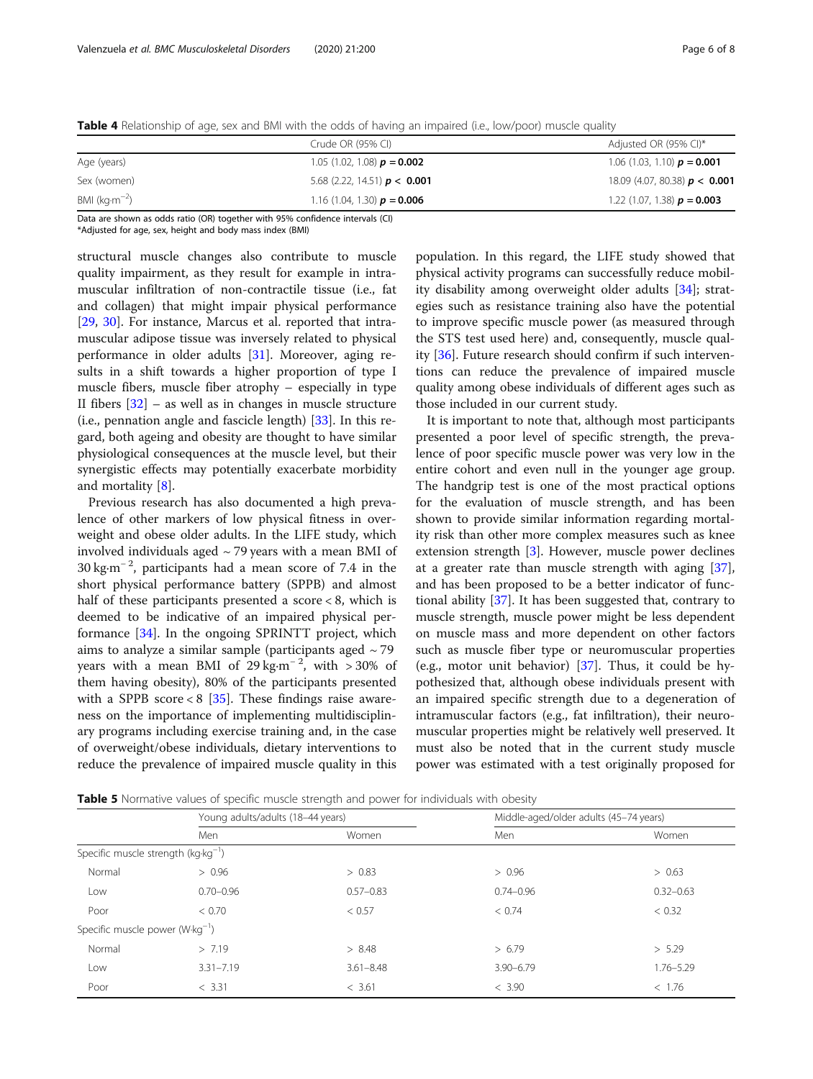<span id="page-5-0"></span>

|  | Table 4 Relationship of age, sex and BMI with the odds of having an impaired (i.e., low/poor) muscle quality |  |  |  |  |  |  |  |
|--|--------------------------------------------------------------------------------------------------------------|--|--|--|--|--|--|--|
|--|--------------------------------------------------------------------------------------------------------------|--|--|--|--|--|--|--|

|                  | Crude OR (95% CI)              | Adjusted OR (95% CI)*           |
|------------------|--------------------------------|---------------------------------|
| Age (years)      | 1.05 (1.02, 1.08) $p = 0.002$  | 1.06 (1.03, 1.10) $p = 0.001$   |
| Sex (women)      | 5.68 (2.22, 14.51) $p < 0.001$ | 18.09 (4.07, 80.38) $p < 0.001$ |
| BMI ( $kg·m-2$ ) | 1.16 (1.04, 1.30) $p = 0.006$  | 1.22 $(1.07, 1.38)$ $p = 0.003$ |
|                  |                                |                                 |

Data are shown as odds ratio (OR) together with 95% confidence intervals (CI)

\*Adjusted for age, sex, height and body mass index (BMI)

structural muscle changes also contribute to muscle quality impairment, as they result for example in intramuscular infiltration of non-contractile tissue (i.e., fat and collagen) that might impair physical performance [[29,](#page-7-0) [30](#page-7-0)]. For instance, Marcus et al. reported that intramuscular adipose tissue was inversely related to physical performance in older adults [[31\]](#page-7-0). Moreover, aging results in a shift towards a higher proportion of type I muscle fibers, muscle fiber atrophy – especially in type II fibers  $[32]$  $[32]$  – as well as in changes in muscle structure (i.e., pennation angle and fascicle length) [[33\]](#page-7-0). In this regard, both ageing and obesity are thought to have similar physiological consequences at the muscle level, but their synergistic effects may potentially exacerbate morbidity and mortality [[8\]](#page-7-0).

Previous research has also documented a high prevalence of other markers of low physical fitness in overweight and obese older adults. In the LIFE study, which involved individuals aged  $\sim$  79 years with a mean BMI of 30 kg·m<sup>−</sup> <sup>2</sup> , participants had a mean score of 7.4 in the short physical performance battery (SPPB) and almost half of these participants presented a score < 8, which is deemed to be indicative of an impaired physical performance [\[34](#page-7-0)]. In the ongoing SPRINTT project, which aims to analyze a similar sample (participants aged  $\sim$  79 years with a mean BMI of 29 kg⋅m<sup>-2</sup>, with > 30% of them having obesity), 80% of the participants presented with a SPPB score  $< 8$  [[35\]](#page-7-0). These findings raise awareness on the importance of implementing multidisciplinary programs including exercise training and, in the case of overweight/obese individuals, dietary interventions to reduce the prevalence of impaired muscle quality in this

population. In this regard, the LIFE study showed that physical activity programs can successfully reduce mobility disability among overweight older adults [\[34](#page-7-0)]; strategies such as resistance training also have the potential to improve specific muscle power (as measured through the STS test used here) and, consequently, muscle quality [[36\]](#page-7-0). Future research should confirm if such interventions can reduce the prevalence of impaired muscle quality among obese individuals of different ages such as those included in our current study.

It is important to note that, although most participants presented a poor level of specific strength, the prevalence of poor specific muscle power was very low in the entire cohort and even null in the younger age group. The handgrip test is one of the most practical options for the evaluation of muscle strength, and has been shown to provide similar information regarding mortality risk than other more complex measures such as knee extension strength [\[3\]](#page-6-0). However, muscle power declines at a greater rate than muscle strength with aging [\[37](#page-7-0)], and has been proposed to be a better indicator of functional ability [\[37\]](#page-7-0). It has been suggested that, contrary to muscle strength, muscle power might be less dependent on muscle mass and more dependent on other factors such as muscle fiber type or neuromuscular properties (e.g., motor unit behavior) [[37](#page-7-0)]. Thus, it could be hypothesized that, although obese individuals present with an impaired specific strength due to a degeneration of intramuscular factors (e.g., fat infiltration), their neuromuscular properties might be relatively well preserved. It must also be noted that in the current study muscle power was estimated with a test originally proposed for

**Table 5** Normative values of specific muscle strength and power for individuals with obesity

|                                                  | Young adults/adults (18-44 years) |               | Middle-aged/older adults (45-74 years) |               |
|--------------------------------------------------|-----------------------------------|---------------|----------------------------------------|---------------|
|                                                  | Men                               | Women         | Men                                    | Women         |
| Specific muscle strength ( $kg$ - $kg^{-1}$ )    |                                   |               |                                        |               |
| Normal                                           | > 0.96                            | > 0.83        | > 0.96                                 | > 0.63        |
| Low                                              | $0.70 - 0.96$                     | $0.57 - 0.83$ | $0.74 - 0.96$                          | $0.32 - 0.63$ |
| Poor                                             | < 0.70                            | < 0.57        | < 0.74                                 | < 0.32        |
| Specific muscle power $(W \cdot \text{kg}^{-1})$ |                                   |               |                                        |               |
| Normal                                           | > 7.19                            | > 8.48        | > 6.79                                 | > 5.29        |
| Low                                              | $3.31 - 7.19$                     | $3.61 - 8.48$ | $3.90 - 6.79$                          | $1.76 - 5.29$ |
| Poor                                             | < 3.31                            | < 3.61        | < 3.90                                 | < 1.76        |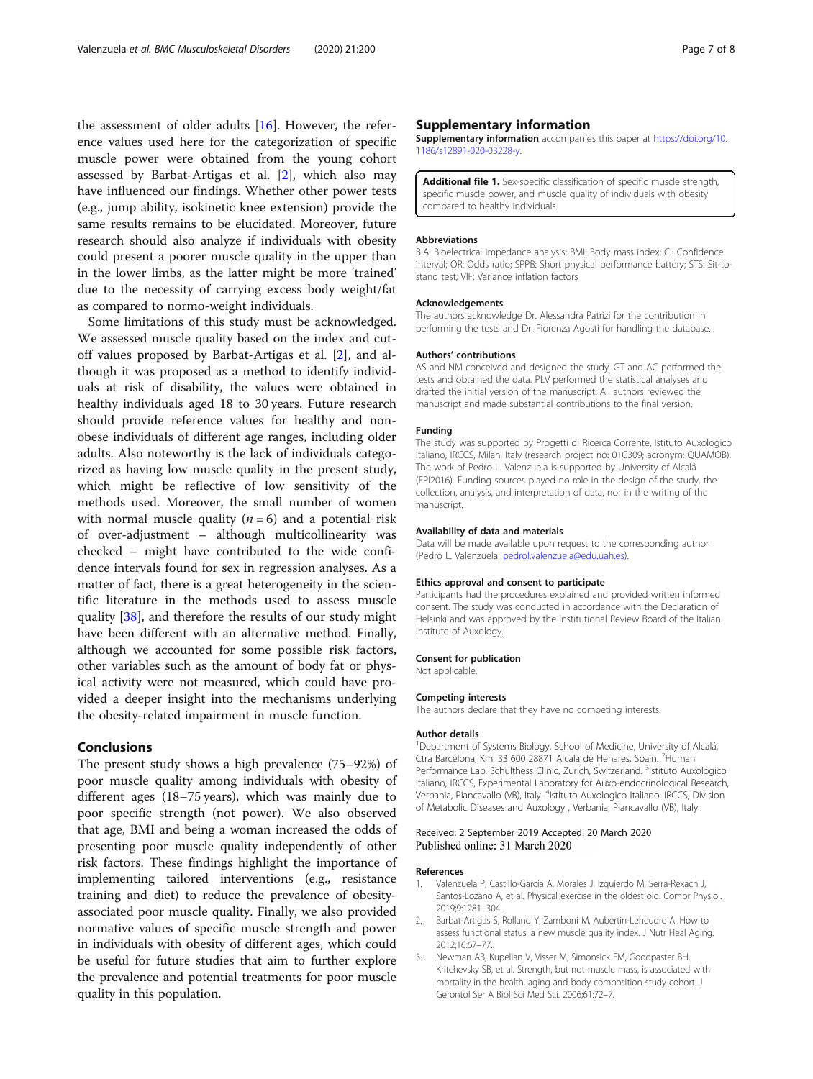<span id="page-6-0"></span>the assessment of older adults [\[16\]](#page-7-0). However, the reference values used here for the categorization of specific muscle power were obtained from the young cohort assessed by Barbat-Artigas et al. [2], which also may have influenced our findings. Whether other power tests (e.g., jump ability, isokinetic knee extension) provide the same results remains to be elucidated. Moreover, future research should also analyze if individuals with obesity could present a poorer muscle quality in the upper than in the lower limbs, as the latter might be more 'trained' due to the necessity of carrying excess body weight/fat as compared to normo-weight individuals.

Some limitations of this study must be acknowledged. We assessed muscle quality based on the index and cutoff values proposed by Barbat-Artigas et al. [2], and although it was proposed as a method to identify individuals at risk of disability, the values were obtained in healthy individuals aged 18 to 30 years. Future research should provide reference values for healthy and nonobese individuals of different age ranges, including older adults. Also noteworthy is the lack of individuals categorized as having low muscle quality in the present study, which might be reflective of low sensitivity of the methods used. Moreover, the small number of women with normal muscle quality  $(n = 6)$  and a potential risk of over-adjustment – although multicollinearity was checked – might have contributed to the wide confidence intervals found for sex in regression analyses. As a matter of fact, there is a great heterogeneity in the scientific literature in the methods used to assess muscle quality [[38](#page-7-0)], and therefore the results of our study might have been different with an alternative method. Finally, although we accounted for some possible risk factors, other variables such as the amount of body fat or physical activity were not measured, which could have provided a deeper insight into the mechanisms underlying the obesity-related impairment in muscle function.

#### Conclusions

The present study shows a high prevalence (75–92%) of poor muscle quality among individuals with obesity of different ages (18–75 years), which was mainly due to poor specific strength (not power). We also observed that age, BMI and being a woman increased the odds of presenting poor muscle quality independently of other risk factors. These findings highlight the importance of implementing tailored interventions (e.g., resistance training and diet) to reduce the prevalence of obesityassociated poor muscle quality. Finally, we also provided normative values of specific muscle strength and power in individuals with obesity of different ages, which could be useful for future studies that aim to further explore the prevalence and potential treatments for poor muscle quality in this population.

#### Supplementary information

Supplementary information accompanies this paper at [https://doi.org/10.](https://doi.org/10.1186/s12891-020-03228-y) [1186/s12891-020-03228-y](https://doi.org/10.1186/s12891-020-03228-y).

Additional file 1. Sex-specific classification of specific muscle strength, specific muscle power, and muscle quality of individuals with obesity compared to healthy individuals.

#### Abbreviations

BIA: Bioelectrical impedance analysis; BMI: Body mass index; CI: Confidence interval; OR: Odds ratio; SPPB: Short physical performance battery; STS: Sit-tostand test; VIF: Variance inflation factors

#### Acknowledgements

The authors acknowledge Dr. Alessandra Patrizi for the contribution in performing the tests and Dr. Fiorenza Agosti for handling the database.

#### Authors' contributions

AS and NM conceived and designed the study. GT and AC performed the tests and obtained the data. PLV performed the statistical analyses and drafted the initial version of the manuscript. All authors reviewed the manuscript and made substantial contributions to the final version.

#### Funding

The study was supported by Progetti di Ricerca Corrente, Istituto Auxologico Italiano, IRCCS, Milan, Italy (research project no: 01C309; acronym: QUAMOB). The work of Pedro L. Valenzuela is supported by University of Alcalá (FPI2016). Funding sources played no role in the design of the study, the collection, analysis, and interpretation of data, nor in the writing of the manuscript.

#### Availability of data and materials

Data will be made available upon request to the corresponding author (Pedro L. Valenzuela, [pedrol.valenzuela@edu.uah.es\)](mailto:pedrol.valenzuela@edu.uah.es).

#### Ethics approval and consent to participate

Participants had the procedures explained and provided written informed consent. The study was conducted in accordance with the Declaration of Helsinki and was approved by the Institutional Review Board of the Italian Institute of Auxology.

#### Consent for publication

Not applicable.

#### Competing interests

The authors declare that they have no competing interests.

#### Author details

<sup>1</sup>Department of Systems Biology, School of Medicine, University of Alcalá, Ctra Barcelona, Km, 33 600 28871 Alcalá de Henares, Spain. <sup>2</sup>Human Performance Lab, Schulthess Clinic, Zurich, Switzerland. <sup>3</sup>Istituto Auxologico Italiano, IRCCS, Experimental Laboratory for Auxo-endocrinological Research, Verbania, Piancavallo (VB), Italy. <sup>4</sup>Istituto Auxologico Italiano, IRCCS, Division of Metabolic Diseases and Auxology , Verbania, Piancavallo (VB), Italy.

#### Received: 2 September 2019 Accepted: 20 March 2020 Published online: 31 March 2020

#### References

- 1. Valenzuela P, Castillo-García A, Morales J, Izquierdo M, Serra-Rexach J, Santos-Lozano A, et al. Physical exercise in the oldest old. Compr Physiol. 2019;9:1281–304.
- 2. Barbat-Artigas S, Rolland Y, Zamboni M, Aubertin-Leheudre A. How to assess functional status: a new muscle quality index. J Nutr Heal Aging. 2012;16:67–77.
- 3. Newman AB, Kupelian V, Visser M, Simonsick EM, Goodpaster BH, Kritchevsky SB, et al. Strength, but not muscle mass, is associated with mortality in the health, aging and body composition study cohort. J Gerontol Ser A Biol Sci Med Sci. 2006;61:72–7.